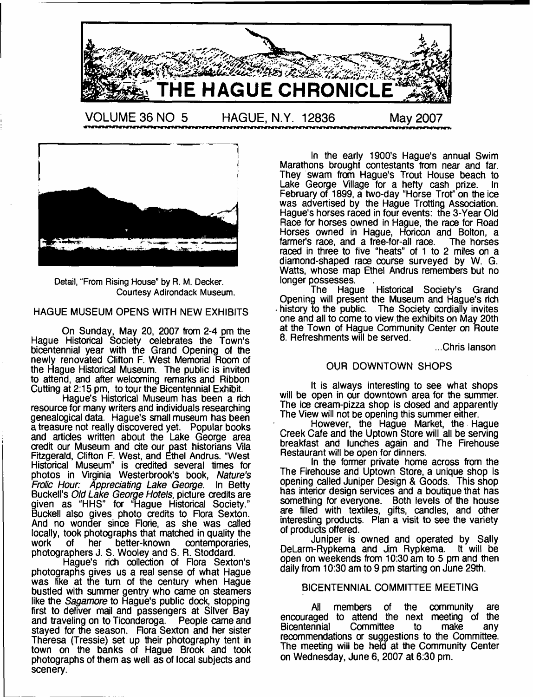



Detail, "From Rising House" by R. M. Decker. Courtesy Adirondack Museum.

# HAGUE MUSEUM OPENS WITH NEW EXHIBITS

On Sunday, May 20, 2007 from 2-4 pm the Hague Historical Society celebrates the Town's bicentennial year with the Grand Opening of the newly renovated Clifton F. West Memorial Room of the Hague Historical Museum. The public is invited to attend, and after welcoming remarks and Ribbon Cutting at 2:15 pm, to tour the Bicentennial Exhibit.

Hague's Historical Museum has been a rich resource for many writers and individuals researching genealogical data. Hague's small museum has been a treasure not really discovered yet. Popular books and articles written about the Lake George area credit our Museum and cite our past historians Vila Fitzgerald, Clifton F. West, and Ethel Andrus. "West Historical Museum" is credited several times for photos in Virginia Westerbrook's book, *Nature's Frolic Hour: Appreciating Lake George.* In Betty Buckell's *Old Lake George Hotels,* picture credits are given as "HHS" for "Hague Historical Society." Buckell also gives photo credits to Rora Sexton. And no wonder since Rorie, as she was called locally, took photographs that matched in quality the work of the better-known contemporaries, work of her better-known contemporaries, photographers J. S. Wooley and S. R. Stoddard.

Hague's rich collection of Rora Sexton's photographs gives us a real sense of what Hague was like at the turn of the century when Hague bustled with summer gentry who came on steamers like the *Sagamore* to Hague's public dock, stopping first to deliver mail and passengers at Silver Bay and traveling on to Ticonderoga. People came and stayed for the season. Flora Sexton and her sister Theresa (Tressie) set up their photography tent in town on the banks of Hague Brook and took photographs of them as well as of local subjects and scenery.

In the early 1900's Hague's annual Swim Marathons brought contestants from near and far. They swam from Hague's Trout House beach to Lake George Village for a hefty cash prize. In February of 1899, a two-day "Horse Trot" on the ice was advertised by the Hague Trotting Association. Hague's horses raced in four events: the 3-Year Old Race for horses owned in Hague, the race for Road Horses owned in Hague, Horicon and Bolton, a<br>farmer's race, and a free-for-all race. The horses farmer's race, and a free-for-all race. raced in three to five "heats" of 1 to 2 miles on a diamond-shaped race course surveyed by W. G. Watts, whose map Ethel Andrus remembers but no longer possesses.

The Hague Historical Society's Grand Opening will present the Museum and Hague's rich history to the public. The Society cordially invites one and all to come to view the exhibits on May 20th at the Town of Hague Community Center on Route 8. Refreshments will be served.

...Chris lanson

# OUR DOWNTOWN SHOPS

It is always interesting to see what shops will be open in our downtown area for the summer. The ice cream-pizza shop is closed and apparently The View will not be opening this summer either.

However, the Hague Market, the Hague Creek Cafe and the Uptown Store will all be serving breakfast and lunches again and The Firehouse Restaurant will be open for dinners.

In the former private home across from the The Firehouse and Uptown Store, a unique shop is opening called Juniper Design & Goods. This shop has interior design services and a boutique that has something for everyone. Both levels of the house are filled with textiles, gifts, candles, and other interesting products. Plan a visit to see the variety of products offered.

Juniper is owned and operated by Sally DeLarm-Rypkema and Jim Rypkema. It will be open on weekends from 10:30 am to 5 pm and then daily from 10:30 am to 9 pm starting on June 29th.

# BICENTENNIAL COMMITTEE MEETING

All members of the community are encouraged to attend the next meeting of the<br>Bicentennial Committee to make any Bicentennial Committee to make any recommendations or suggestions to the Committee. The meeting will be held at the Community Center on Wednesday, June 6, 2007 at 6:30 pm.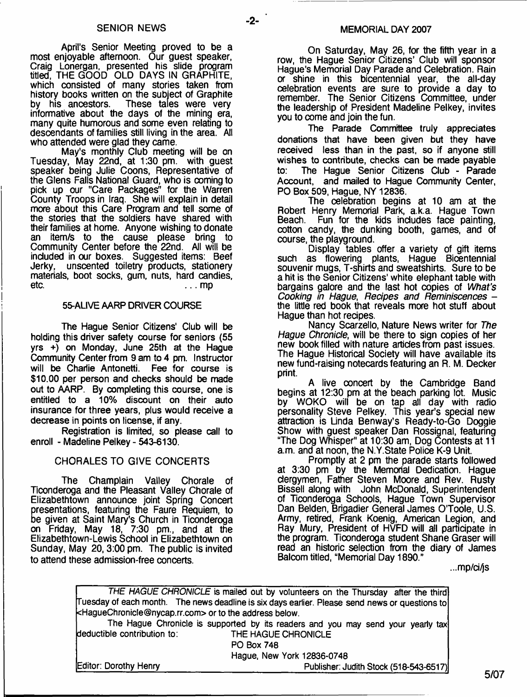$-2-$ 

April's Senior Meeting proved to be a most enjoyable afternoon. Our guest speaker, Craig Lonergan, presented his slide program titled, THE GOOD OLD DAYS IN GRAPHITE, which consisted of many stories taken from history books written on the subject of Graphite<br>by his ancestors. These tales were very These tales were very informative about the days of the mining era, many quite humorous and some even relating to descendants of families still living in the area. All who attended were glad they came.

May's monthly Club meeting will be on Tuesday, May 22nd, at 1:30 pm. with guest speaker being Julie Coons, Representative of the Glens Falls National Guard, who is coming to pick up our "Care Packages" for the Warren County Troops in Iraq. She will explain in detail more about this Care Program and tell some of the stories that the soldiers have shared with their families at home. Anyone wishing to donate an item/s to the cause please bring to Community Center before the 22nd. All will be included in our boxes. Suggested items: Beef unscented toiletry products, stationery materials, boot socks, gum, nuts, hard candies, etc.  $\ldots$  mp

# 55-ALIVE AARP DRIVER COURSE

The Hague Senior Citizens' Club will be holding this driver safety course for seniors (55 yrs +) on Monday, June 25th at the Hague Community Center from 9 am to 4 pm. Instructor will be Charlie Antonetti. Fee for course is \$10.00 per person and checks should be made out to AARP. By completing this course, one is entitled to a 10% discount on their auto insurance for three years, plus would receive a decrease in points on license, if any.

Registration is limited, so please call to enroll - Madeline Pelkey - 543-6130.

# CHORALES TO GIVE CONCERTS

The Champlain Valley Chorale of Ticonderoga and the Pleasant Valley Chorale of Elizabethtown announce joint Spring Concert presentations, featuring the Faure Requiem, to be given at Saint Mary's Church in Ticonderoga on Friday, May 18, 7:30 pm., and at the Elizabethtown-Lewis School in Elizabethtown on Sunday, May 20,3:00 pm. The public is invited to attend these admission-free concerts.

On Saturday, May 26, for the fifth year in a row, the Hague Senior Citizens' Club will sponsor Hague's Memorial Day Parade and Celebration. Rain or shine in this bicentennial year, the all-day celebration events are sure to provide a day to remember. The Senior Citizens Committee, under the leadership of President Madeline Pelkey, invites you to come and join the fun.

The Parade Committee truly appreciates donations that have been given but they have received less than in the past, so if anyone still wishes to contribute, checks can be made payable to: The Hague Senior Citizens Club - Parade Account, and mailed to Hague Community Center, PO Box 509, Hague, NY 12836.

The celebration begins at 10 am at the Robert Henry Memorial Park, a.k.a. Hague Town Fun for the kids includes face painting, cotton candy, the dunking booth, games, and of course, the playground.

Display tables offer a variety of gift items such as flowering plants, Hague Bicentennial souvenir mugs, T-shirts and sweatshirts. Sure to be a hit is the Senior Citizens' white elephant table with bargains galore and the last hot copies of *What's Cooking in Hague*, *Recipes and Reminiscences*  the little red book that reveals more hot stuff about Hague than hot recipes.

Nancy Scarzello, Nature News writer for *The Hague Chronicle,* will be there to sign copies of her new book filled with nature articles from past issues. The Hague Historical Society will have available its new fund-raising notecards featuring an R. M. Decker print.

A live concert by the Cambridge Band begins at 12:30 pm at the beach parking lot. Music by WOKO will be on tap all day with radio personality Steve Pelkey. This year's special new attraction is Linda Benway's Ready-to-Go Doggie Show with guest speaker Dan Rossignal, featuring "The Dog Whisper" at 10:30 am, Dog Contests at 11 a.m. and at noon, the N.Y.State Police K-9 Unit.

Promptly at 2 pm the parade starts followed at 3:30 pm by the Memorial Dedication. Hague clergymen, Father Steven Moore and Rev. Rusty Bissell along with John McDonald, Superintendent of Ticonderoga Schools, Hague Town Supervisor Dan Belden, Brigadier General James O'Toole, U.S. Army, retired, Frank Koenig, American Legion, and Ray Mury, President of HVFD will all participate in the program. Ticonderoga student Shane Graser will read an historic selection from the diary of James Balcom titled, "Memorial Day 1890."

...mp/ci^s

|                                                        | THE HAGUE CHRONICLE is mailed out by volunteers on the Thursday after the third                |
|--------------------------------------------------------|------------------------------------------------------------------------------------------------|
|                                                        | Tuesday of each month. The news deadline is six days earlier. Please send news or questions to |
| kHagueChronicle@nycap.rr.com> or to the address below. |                                                                                                |
|                                                        | The Hague Chronicle is supported by its readers and you may send your yearly tax               |
| deductible contribution to:                            | THE HAGUE CHRONICLE                                                                            |
|                                                        | <b>PO Box 748</b>                                                                              |
|                                                        | Hague, New York 12836-0748                                                                     |
| Editor: Dorothy Henry                                  | Publisher: Judith Stock (518-543-6517)                                                         |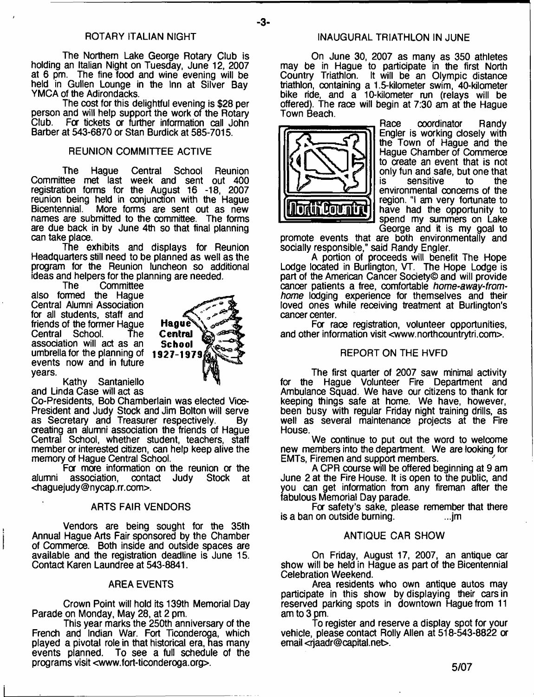The Northern Lake George Rotary Club is holding an Italian Night on Tuesday, June 12, 2007 at 6 pm. The fine food and wine evening will be held in Gullen Lounge in the Inn at Silver Bay YMCA of the Adirondacks.

The cost for this delightful evening is \$28 per person and will help support the work of the Rotary<br>Club. For tickets or further information call John For tickets or further information call John Barber at 543-6870 or Stan Burdick at 585-7015.

# REUNION COMMITTEE ACTIVE

The Hague Central School Reunion Committee met last week and sent out 400 registration forms for the August 16 -18, 2007 reunion being held in conjunction with the Hague Bicentennial. More forms are sent out as new names are submitted to the committee. The forms are due back in by June 4th so that final planning can take place.

The exhibits and displays for Reunion Headquarters still need to be planned as well as the program for the Reunion luncheon so additional ideas and helpers for the planning are needed.

Committee

also formed the Hague Central Alumni Association for all students, staff and friends of the former Hague<br>Central School. The Central School. association will act as an umbrella for the planning of events now and in future years.



Kathy Santaniello and Linda Case will act as

Co-Presidents, Bob Chamberlain was elected Vice-President and Judy Stock and Jim Bolton will serve as Secretary and Treasurer respectively. By creating an alumni association the friends of Haque Central School, whether student, teachers, staff member or interested citizen, can help keep alive the memory of Hague Central School.

For more information on the reunion or the<br>association, contact Judy Stock at alumni association, contact Judv [<haguejudy@nycap.rr.com>](mailto:haguejudy@nycap.rr.com).

#### ARTS FAIR VENDORS

Vendors are being sought for the 35th Annual Hague Arts Fair sponsored by the Chamber of Commerce. Both inside and outside spaces are available and the registration deadline is June 15. Contact Karen Laundree at 543-8841.

# AREA EVENTS

Crown Point will hold its 139th Memorial Day Parade on Monday, May 28, at 2 pm.

This year marks the 250th anniversary of the French and Indian War. Fort Ticonderoga, which played a pivotal role in that historical era, has many events planned. To see a full schedule of the programs visit [<www.fort-ticonderoga.org>](http://www.fort-ticonderoga.org).

# ROTARY ITALIAN NIGHT **INAUGURAL TRIATHLON IN JUNE**

On June 30, 2007 as many as 350 athletes may be in Hague to participate in the first North Country Triathlon. It will be an Olympic distance triathlon, containing a 1.5-kilometer swim, 40-kilometer bike ride, and a 10-kilometer run (relays will be offered). The race will begin at 7:30 am at the Hague Town Beach.



Race coordinator Randy Engler is working closely with the Town of Hague and the Hague Chamber of Commerce to create an event that is not only fun and safe, but one that<br>is sensitive to the sensitive environmental concerns of the region. "I am very fortunate to have had the opportunity to spend my summers on Lake George and it is my goal to

promote events that are both environmentally and socially responsible," said Randy Engler.

A portion of proceeds will benefit The Hope Lodge located in Burlington, VT. The Hope Lodge is part of the American Cancer Society© and will provide cancer patients a free, comfortable *home-away-fromhome* lodging experience for themselves and their loved ones while receiving treatment at Burlington's cancer center.

For race registration, volunteer opportunities, and other information visit [<www.northcountrytri.com](http://www.northcountrytri.com)>.

# REPORT ON THE HVFD

The first quarter of 2007 saw minimal activity for the Hague Volunteer Fire Department and Ambulance Squad. We have our citizens to thank for keeping things safe at home. We have, however, been busy with regular Friday night training drills, as well as several maintenance projects at the Fire **House** 

We continue to put out the word to welcome new members into the department. We are looking for EMTs, Firemen and support members.

A CPR course will be offered beginning at 9 am June 2 at the Fire House. It is open to the public, and you can get information from any fireman after the fabulous Memorial Day parade.

For safety's sake, please remember that there<br>i on outside burning. is a ban on outside burning.

#### ANTIQUE CAR SHOW

On Friday, August 17, 2007, an antique car show will be held in Hague as part of the Bicentennial Celebration Weekend.

Area residents who own antique autos may participate in this show by displaying their cars in reserved parking spots in downtown Hague from 11 am to 3 pm.

To register and reserve a display spot for your vehicle, please contact Rolly Allen at 518-543-8822 or email <[rjaadr@capital.net](mailto:rjaadr@capital.net)>.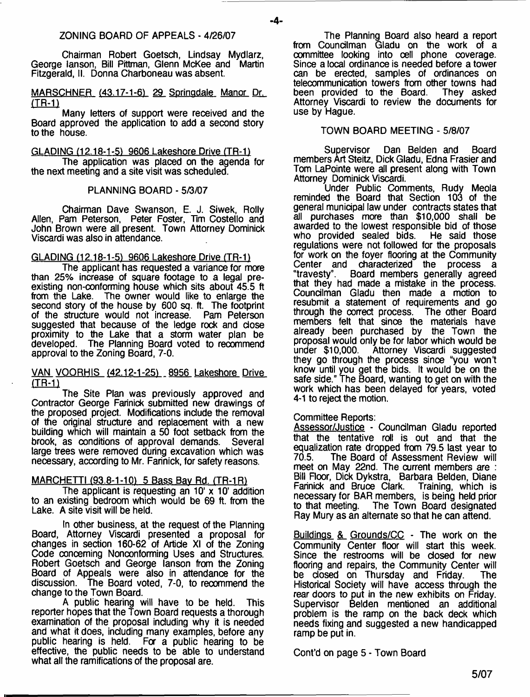Chairman Robert Goetsch, Lindsay Mydlarz, George lanson, Bill Pittman, Glenn McKee and Martin Fitzgerald, II. Donna Charboneau was absent.

# MARSCHNER (43.17-1-6) 29 Springdale Manor Dr. **(TR-1)**

Many letters of support were received and the Board approved the application to add a second story to the house.

# GLADING (12.18-1-51 9606 Lakeshore Drive (TR-1)

The application was placed on the agenda for the next meeting and a site visit was scheduled.

# PLANNING BOARD - 5/3/07

Chairman Dave Swanson, E. J. Siwek, Roily Allen, Pam Peterson, Peter Foster, Tim Costello and John Brown were all present. Town Attorney Dominick Viscardi was also in attendance.

# GLADING (12.18-1-5) 9606 Lakeshore Drive (TR-1)

The applicant has requested a variance for more than 25% increase of square footage to a legal preexisting non-conforming house which sits about 45.5 ft from the Lake. The owner would like to enlarge the second story of the house by 600 sq. ft. The footprint of the structure would not increase. Pam Peterson suggested that because of the ledge rock and dose proximity to the Lake that a storm water plan be developed. The Planning Board voted to recommend approval to the Zoning Board, 7-0.

# VAN VOORHIS (42.12-1-25) 8956 Lakeshore Drive **(TR-1)**

The Site Plan was previously approved and Contractor George Farinick submitted new drawings of the proposed project. Modifications indude the removal of the original structure and replacement with a new building which will maintain a 50 foot setback from the brook, as conditions of approval demands. Several large trees were removed during excavation which was necessary, according to Mr. Farinick, for safety reasons.

# MARCHETTI (93.8-1-10) 5 Bass Bay Rd. (TR-1R)

The applicant is requesting an  $10'$  x  $10'$  addition to an existing bedroom which would be 69 ft. from the Lake. A site visit will be held.

In other business, at the request of the Planning Board, Attorney Viscardi presented a proposal for changes in section 160-62 of Artide XI of the Zoning Code concerning Nonconforming Uses and Structures. Robert Goetsch and George lanson from the Zoning Board of Appeals were also in attendance for the discussion. The Board voted, 7-0, to recommend the change to the Town Board.

A public hearing will have to be held. This reporter hopes that the Town Board requests a thorough examination of the proposal induding why it is needed and what it does, induding many examples, before any public hearing is held. For a public hearing to be effective, the public needs to be able to understand what all the ramifications of the proposal are.

The Planning Board also heard a report from Coundlman Gladu on the work of a committee looking into cell phone coverage. Since a local ordinance is needed before a tower can be erected, samples of ordinances on telecommunication towers from other towns had<br>been provided to the Board. They asked been provided to the Board. Attorney Viscardi to review the documents for use by Hague.

# TOWN BOARD MEETING - 5/8/07

Supervisor Dan Belden and Board members Art Steitz, Dick Gladu, Edna Frasier and Tom LaPointe were all present along with Town Attorney Dominick Viscardi.

Under Public Comments, Rudy Meola reminded the Board that Section 103 of the general municipal law under contracts states that all purchases more than \$10,000 shall be awarded to the lowest responsible bid of those who provided sealed bids. regulations were not followed for the proposals for work on the foyer flooring at the Community Center and characterized the process a "travesty". Board members generally agreed that they had made a mistake in the process. Councilman Gladu then made a motion to resubmit a statement of requirements and go through the correct process. The other Board members felt that since the materials have already been purchased by the Town the proposal would only be for labor which would be<br>under \$10,000. Attorney Viscardi suggested Attorney Viscardi suggested they go through the process since "you won't know until you get the bids. It would be on the safe side." The Board, wanting to get on with the work which has been delayed for years, voted 4-1 to reject the motion.

# Committee Reports:

Assessor/Justice - Councilman Gladu reported that the tentative roll is out and that the equalization rate dropped from 79.5 last year to<br>70.5. The Board of Assessment Review will The Board of Assessment Review will meet on May 22nd. The current members are : Bill Floor, Dick Dykstra, Barbara Belden, Diane<br>Farinick and Bruce Clark. Training, which is Farinick and Bruce Clark. necessary for BAR members, is being held prior<br>to that meeting. The Town Board designated The Town Board designated Ray Mury as an alternate so that he can attend.

Buildings & Grounds/CC - The work on the Community Center floor will start this week. Since the restrooms will be closed for new flooring and repairs, the Community Center will be closed on Thursday and Friday. The Historical Society will have access through the rear doors to put in the new exhibits on Friday. Supervisor Belden mentioned an additional problem is the ramp on the back deck which needs fixing and suggested a new handicapped ramp be put in.

Cont'd on page 5 - Town Board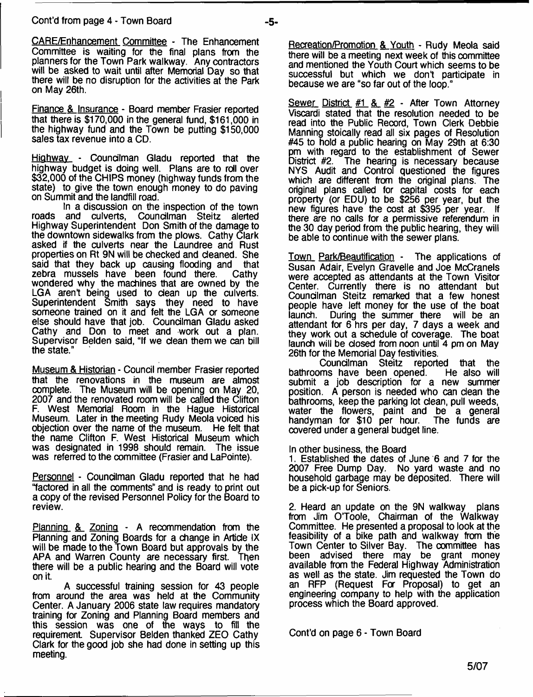CARE/Enhancement Committee - The Enhancement Committee is waiting for the final plans from the planners for the Town Park walkway. Any contractors will be asked to wait until after Memorial Day so that there will be no disruption for the activities at the Park on May 26th.

Finance & Insurance - Board member Frasier reported that there is \$170,000 in the general fund, \$161,000 in the highway fund and the Town be putting \$150,000 sales tax revenue into a CD.

Highway - Councilman Gladu reported that the highway budget is doing well. Plans are to roll over \$32,000 of the CHIPS money (highway funds from the state) to give the town enough money to do paving on Summit and the landfill road.

In a discussion on the inspection of the town<br>roads and culverts, Councilman Steitz alerted Councilman Steitz alerted Highway Superintendent Don Smith of the damage to the downtown sidewalks from the plows. Cathy Clark asked if the culverts near the Laundree and Rust properties on Rt 9N will be checked and cleaned. She said that they back up causing flooding and that zebra mussels have been found there. Cathy zebra mussels have been found there. wondered why the machines that are owned by the LGA aren't being used to dean up the culverts. Superintendent Smith says they need to have someone trained on it and felt the LGA or someone else should have that job. Coundlman Gladu asked Cathy and Don to meet and work out a plan. Supervisor Belden said, "If we dean them we can bill the state."

Museum & Historian - Council member Frasier reported that the renovations in the museum are almost complete. The Museum will be opening on May 20, 2007 and the renovated room will be called the Clifton F. West Memorial Room in the Hague Historical Museum. Later in the meeting Rudy Meola voiced his objection over the name of the museum. He felt that the name Clifton F. West Historical Museum which was designated in 1998 should remain. The issue was referred to the committee (Frasier and LaPointe).

Personnel - Coundlman Gladu reported that he had "factored in all the comments" and is ready to print out a copy of the revised Personnel Policy for the Board to review.

Planning & Zoning - A recommendation from the Planning and Zoning Boards for a change in Artide IX will be made to the Town Board but approvals by the APA and Warren County are necessary first. Then APA and Warren County are necessary first. there will be a public hearing and the Board will vote on it.

A successful training session for 43 people from around the area was held at the Community Center. A January 2006 state law requires mandatory training for Zoning and Planning Board members and this session was one of the ways to fill the requirement. Supervisor Belden thanked ZEO Cathy Clark for the good job she had done in setting up this meeting.

Recreation/Promotion & Youth - Rudy Meola said there will be a meeting next week of this committee and mentioned the Youth Court which seems to be successful but which we don't participate in because we are "so far out of the loop."

Sewer District #1 & #2 - After Town Attorney Viscardi stated that the resolution needed to be read into the Public Record, Town Clerk Debbie Manning stoically read all six pages of Resolution #45 to hold a public hearing on May 29th at 6:30 pm with regard to the establishment of Sewer<br>District #2. The hearing is necessary because The hearing is necessary because NYS Audit and Control questioned the figures which are different from the original plans. The original plans called for capital costs for each property (or EDU) to be \$256 per year, but the new figures have the cost at \$395 per year. If there are no calls for a permissive referendum in the 30 day period from the public hearing, they will be able to continue with the sewer plans.

Town Park/Beautification - The applications of Susan Adair, Evelyn Gravelle and Joe McCranels were accepted as attendants at the Town Visitor Center. Currently there is no attendant but Councilman Steitz remarked that a few honest people have left money for the use of the boat launch. During the summer there will be an attendant for 6 hrs per day, 7 days a week and they work out a schedule of coverage. The boat launch will be closed from noon until 4 pm on May 26th for the Memorial Day festivities.

Councilman Steitz reported that the bathrooms have been opened. submit a job description for a new summer position. A person is needed who can dean the bathrooms, keep the parking lot dean, pull weeds, water the flowers, paint and be a general handyman for \$10 per hour. The funds are handyman for \$10 per hour. covered under a general budget line.

In other business, the Board

1. Established the dates of June 6 and 7 for the 2007 Free Dump Day. No yard waste and no household garbage may be deposited. There will be a pick-up for Seniors.

2. Heard an update on the 9N walkway plans from Jim O'Toole, Chairman of the Walkway Committee. He presented a proposal to look at the feasibility of a bike path and walkway from the Town Center to Silver Bay. The committee has been advised there may be grant money available from the Federal Highway Administration as well as the state. Jim requested the Town do an RFP (Request For Proposal) to get an engineering company to help with the application process which the Board approved.

Cont'd on page 6 - Town Board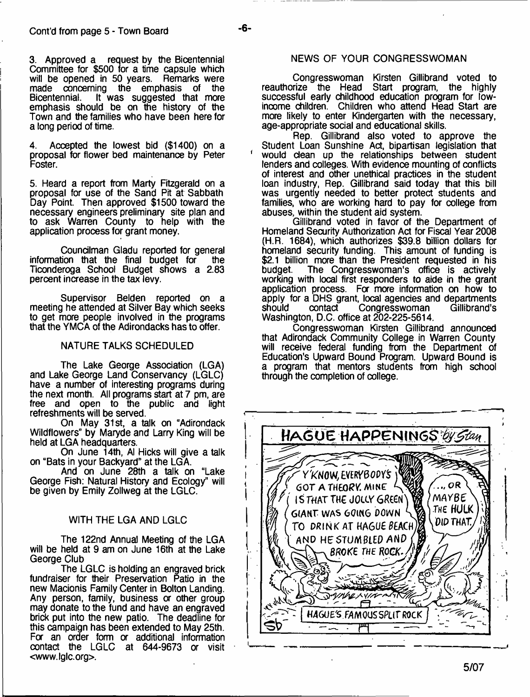3. Approved a request by the Bicentennial Committee for \$500 for a time capsule which will be opened in 50 years. Remarks were made concerning the emphasis of the Bicentennial. It was suggested that more emphasis should be on the history of the Town and the families who have been here for along period of time.

4. Accepted the lowest bid (\$1400) on a proposal for flower bed maintenance by Peter Foster.

5. Heard a report from Marty Fitzgerald on a proposal for use of the Sand Pit at Sabbath Day Point. Then approved \$1500 toward the necessary engineers preliminary site plan and to ask Warren County to help with the application process for grant money.

Councilman Gladu reported for general information that the final budget for the Ticonderoga School Budget shows a 2.83 percent increase in the tax levy.

Supervisor Belden reported on a meeting he attended at Silver Bay which seeks to get more people involved in the programs that the YMCA of the Adirondacks has to offer.

# NATURE TALKS SCHEDULED

The Lake George Association (LGA) and Lake George Land Conservancy (LGLC) have a number of interesting programs during the next month. All programs start at 7 pm, are free and open to the public and light refreshments will be served.

On May 31st, a talk on "Adirondack Wildflowers" by Maryde and Larry King will be held at LGA headquarters.

On June 14th, Al Hicks will give a talk on "Bats in your Backyard" at the LGA.

And on June 28th a talk on "Lake George Fish: Natural History and Ecology" will be given by Emily Zollweg at the LGLC.

# WITH THE LGA AND LGLC

The 122nd Annual Meeting of the LGA will be held at 9 am on June 16th at the Lake George Club

The LGLC is holding an engraved brick fundraiser for their Preservation Patio in the new Macionis Family Center in Bolton Landing. Any person, family, business or other group may donate to the fund and have an engraved brick put into the new patio. The deadline for this campaign has been extended to May 25th. For an order form or additional information contact the LGLC at 644-9673 or visit [<www.lglc.org](http://www.lglc.org)>.

# NEWS OF YOUR CONGRESSWOMAN

Congresswoman Kirsten Gillibrand voted to reauthorize the Head Start program, the highly successful early childhood education program for lowinoome children. Children who attend Head Start are more likely to enter Kindergarten with the necessary, age-appropriate social and educational skills.

Rep. Gillibrand also voted to approve the Student Loan Sunshine Act, bipartisan legislation that ' would dean up the relationships between student lenders and colleges. With evidence mounting of conflicts of interest and other unethical practices in the student loan industry, Rep. Gillibrand said today that this bill was urgently needed to better protect students and families, who are working hard to pay for college from abuses, within the student aid system.

Gillibrand voted in favor of the Department of Homeland Security Authorization Act for Fiscal Year 2008 (H.R. 1684), which authorizes \$39.8 billion dollars for homeland security funding. This amount of funding is \$2.1 billion more than the President requested in his budget. The Congresswoman's office is actively working with local first responders to aide in the grant application process. For more information on how to apply for a DHS grant, local agencies and departments<br>should contact Congresswoman Gillibrand's Congresswoman Washington, D.C. office at 202-225-5614.

Congresswoman Kirsten Gillibrand announced that Adirondack Community College in Warren County will receive federal funding from the Department of Education's Upward Bound Program. Upward Bound is a program that mentors students from high school through the completion of college.

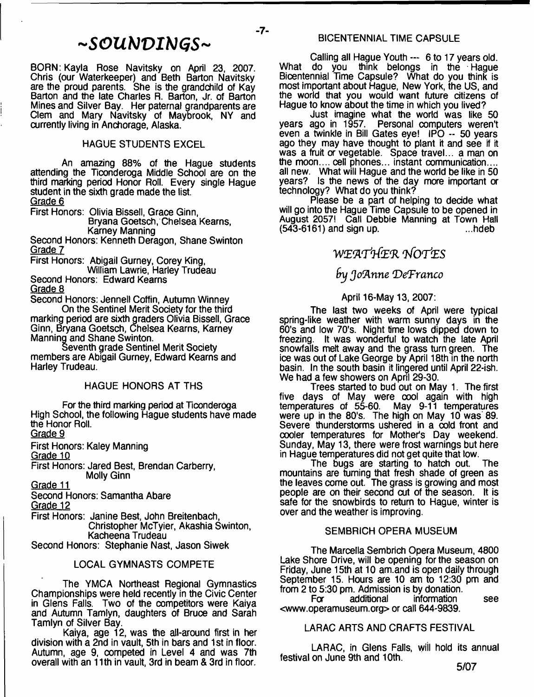# *~ S O U b ) V I M G S ~*

 $-7-$ 

BORN: Kayla Rose Navitsky on April 23, 2007. Chris (our Waterkeeper) and Beth Barton Navitsky are the proud parents. She is the grandchild of Kay Barton and the late Charles R. Barton, Jr. of Barton Mines and Silver Bay. Her paternal grandparents are Clem and Mary Navitsky of Maybrook, NY and currently living in Anchorage, Alaska.

# HAGUE STUDENTS EXCEL

An amazing 88% of the Hague students attending the Ticonderoga Middle School are on the third marking period Honor Roll. Every single Hague student in the sixth grade made the list. Grade 6

First Honors: Olivia Bissell, Grace Ginn,

Bryana Goetsch, Chelsea Kearns, Karney Manning

Second Honors: Kenneth Deragon, Shane Swinton Grade 7

First Honors: Abigail Gurney, Corey King, William Lawrie, Harley Trudeau

Second Honors: Edward Kearns Grade 8

Second Honors: Jennell Coffin, Autumn Winney On the Sentinel Merit Society for the third marking period are sixth graders Olivia Bissell, Grace Ginn, Bryana Goetsch, Chelsea Kearns, Karney Manning and Shane Swinton.

Seventh grade Sentinel Merit Society members are Abigail Gurney, Edward Kearns and Harley Trudeau.

# HAGUE HONORS AT THS

For the third marking period at Ticonderoga High School, the following Hague students have made the Honor Roll.

Grade 9

First Honors: Kaley Manning

Grade 10

First Honors: Jared Best, Brendan Carberry, Molly Ginn

Grade 11

Second Honors: Samantha Abare Grade 12

First Honors: Janine Best, John Breitenbach, Christopher McTyier, Akashia Swinton, Kacheena Trudeau

Second Honors: Stephanie Nast, Jason Siwek

# LOCAL GYMNASTS COMPETE

The YMCA Northeast Regional Gymnastics Championships were held recently in the Civic Center in Glens Falls. Two of the competitors were Kaiya and Autumn Tamlyn, daughters of Bruce and Sarah Tamlyn of Silver Bay.

Kaiya, age 12, was the all-around first in her division with a 2nd in vault, 5th in bars and 1st in floor. Autumn, age 9, competed in Level 4 and was 7th overall with an 11th in vault, 3rd in beam & 3rd in floor.

Calling all Hague Youth --- 6 to 17 years old. What do you think belongs in the Hague Bicentennial Time Capsule? What do you think is most important about Hague, New York, the US, and the world that you would want future citizens of Hague to know about the time in which you lived?

Just imagine what the world was like 50 years ago in 1957. Personal computers weren't even a twinkle in Bill Gates eye! IPO -- 50 years ago they may have thought to plant it and see if it was a fruit or vegetable. Space travel... a man on the moon.... cell phones... instant communication.... all new. What will Hague and the world be like in 50 years? Is the news of the day more important or technology? What do you think?

Please be a part of helping to decide what will go into the Hague Time Capsule to be opened in August 2057! Call Debbie Manning at Town Hall  $(543-6161)$  and sign up.

# WEATHER NOTES

# *fry J o ftn n e (D eTranco*

#### April 16-May 13, 2007:

The last two weeks of April were typical spring-like weather with warm sunny days in the 60's and low 70's. Night time lows dipped down to freezing. It was wonderful to watch the late April snowfalls melt away and the grass turn green. The ice was out of Lake George by April 18th in the north basin. In the south basin it lingered until April 22-ish. We had a few showers on April 29-30.

Trees started to bud out on May 1. The first five days of May were cool again with high temperatures of 55-60. May 9-11 temperatures May 9-11 temperatures were up in the 80's. The high on May 10 was 89. Severe thunderstorms ushered in a cold front and cooler temperatures for Mother's Day weekend. Sunday, May 13, there were frost warnings but here in Hague temperatures did not get quite that low.

The bugs are starting to hatch out. The mountains are turning that fresh shade of green as the leaves come out. The grass is growing and most people are on their second cut of the season. It is safe for the snowbirds to return to Hague, winter is over and the weather is improving.

# SEMBRICH OPERA MUSEUM

The Marcella Sembrich Opera Museum, 4800 Lake Shore Drive, will be opening for the season on Friday, June 15th at 10 am.and is open daily through September 15. Hours are 10 am to 12:30 pm and from 2 to 5:30 pm. Admission is by donation.

information see [<www.operamuseum.org>](http://www.operamuseum.org) or call 644-9839.

# LARAC ARTS AND CRAFTS FESTIVAL

LARAC, in Glens Falls, will hold its annual festival on June 9th and 10th.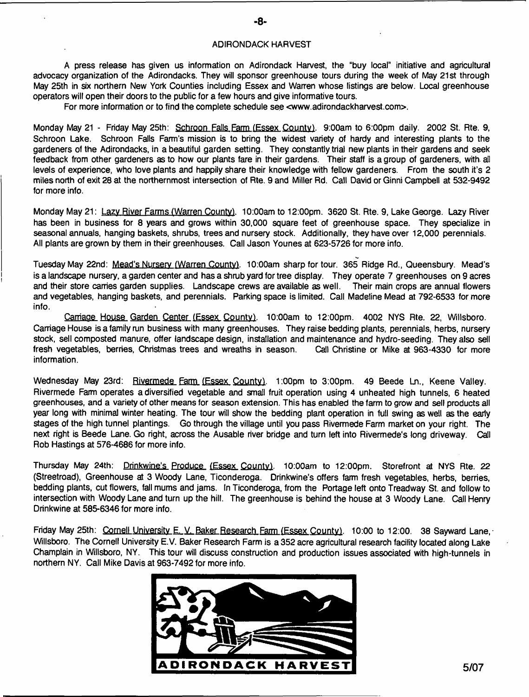#### ADIRONDACK HARVEST

A press release has given us information on Adirondack Harvest, the "buy local" initiative and agricultural advocacy organization of the Adirondacks. They will sponsor greenhouse tours during the week of May 21st through May 25th in six northern New York Counties including Essex and Warren whose listings are below. Local greenhouse operators will open their doors to the public for a few hours and give informative tours.

For more information or to find the complete schedule see <[www.adirondackharvest.com](http://www.adirondackharvest.com)>.

Monday May 21 - Friday May 25th: Schroon Falls Farm (Essex County). 9:00am to 6:00pm daily. 2002 St. Rte. 9, Schroon Lake. Schroon Falls Farm's mission is to bring the widest variety of hardy and interesting plants to the gardeners of the Adirondacks, in a beautiful garden setting. They constantly trial new plants in their gardens and seek feedback from other gardeners as to how our plants fare in their gardens. Their staff is a group of gardeners, with all levels of experience, who love plants and happily share their knowledge with fellow gardeners. From the south it's 2 miles north of exit 28 at the northernmost intersection of Rte. 9 and Miller Rd. Call David or Ginni Campbell at 532-9492 for more info.

Monday May 21: Lazy River Farms (Warren County). 10:00am to 12:00pm. 3620 St. Rte. 9, Lake George. Lazy River has been in business for 8 years and grows within 30,000 square feet of greenhouse space. They specialize in seasonal annuals, hanging baskets, shrubs, trees and nursery stock. Additionally, they have over 12,000 perennials. All plants are grown by them in their greenhouses. Call Jason Younes at 623-5726 for more info.

Tuesday Mav 22nd: Mead's Nursery (Warren County). 10:00am sharp for tour. 365 Ridge Rd., Queensbury. Mead's is a landscape nursery, a garden center and has a shrub yard for tree display. They operate 7 greenhouses on 9 acres and their store carries garden supplies. Landscape crews are available as well. Their main crops are annual flowers and vegetables, hanging baskets, and perennials. Parking space is limited. Call Madeline Mead at 792-6533 for more info.

Carriage House Garden Center (Essex County). 10:00am to 12:00pm. 4002 NYS Rte. 22, Willsboro. Carriage House is a family run business with many greenhouses. They raise bedding plants, perennials, herbs, nursery stock, sell composted manure, offer landscape design, installation and maintenance and hydro-seeding. They also sell fresh vegetables, berries, Christmas trees and wreaths in season. Call Christine or Mike at 963-4330 for more information.

Wednesday May 23rd: Rivermede Farm (Essex County). 1:00pm to 3:00pm. 49 Beede Ln., Keene Valley. Rivermede Farm operates a diversified vegetable and small fruit operation using 4 unheated high tunnels, 6 heated greenhouses, and a variety of other means for season extension. This has enabled the farm to grow and sell products all year long with minimal winter heating. The tour will show the bedding plant operation in full swing as well as the early stages of the high tunnel plantings. Go through the village until you pass Rivermede Farm market on your right. The next right is Beede Lane. Go right, across the Ausable river bridge and turn left into Rivermede's long driveway. Call Rob Hastings at 576-4686 for more info.

Thursday May 24th: Drinkwine's Produce (Essex County). 10:00am to 12:00pm. Storefront at NYS Rte. 22 (Streetroad), Greenhouse at 3 Woody Lane, Ticonderoga. Drinkwine's offers farm fresh vegetables, herbs, berries, bedding plants, cut flowers, fall mums and jams. In Ticonderoga, from the Portage left onto Treadway St. and follow to intersection with Woody Lane and turn up the hill. The greenhouse is behind the house at 3 Woody Lane. Call Henry Drinkwine at 585-6346 for more info.

Friday May 25th: Cornell University E. V. Baker Research Farm (Essex County). 10:00 to 12:00. 38 Sayward Lane, Willsboro. The Cornell University E.V. Baker Research Farm is a 352 acre agricultural research facility located along Lake Champlain in Willsboro, NY. This tour will discuss construction and production issues associated with high-tunnels in northern NY. Call Mike Davis at 963-7492 for more info.

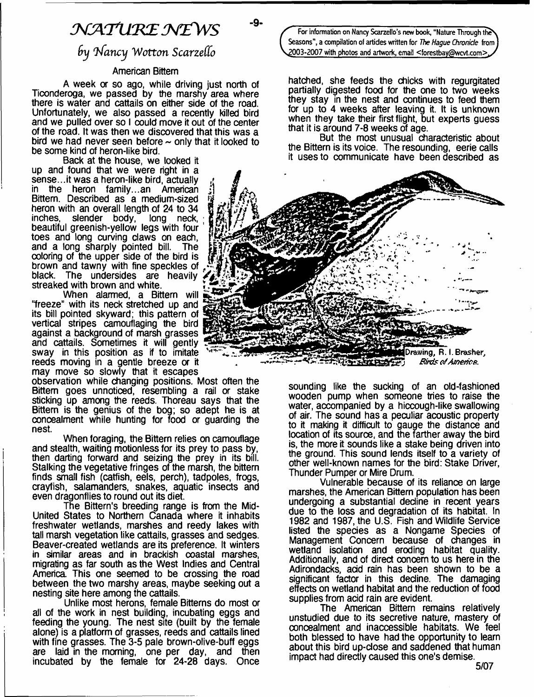# *NATURE NEWS*

# *6 y In fa n cy W o tto n ScarzeCCo*

#### American Bittern

A week or so ago, while driving just north of Ticonderoga, we passed by the marshy area where there is water and cattails on either side of the road. Unfortunately, we also passed a recently killed bird and we pulled over so I could move it out of the center of the road. It was then we discovered that this was a bird we had never seen before  $\sim$  only that it looked to be some kind of heron-like bird.

Back at the house, we looked it up and found that we were right in a sense...it was a heron-like bird, actually in the heron family...an American Bittern. Described as a medium-sized heron with an overall length of 24 to 34 inches, slender body, long neck, beautiful greenish-yellow legs with four toes and long curving daws on each, and a long sharply pointed bill. The coloring of the upper side of the bird is brown and tawny with fine speckles of black. The undersides are heavily streaked with brown and white.

When alarmed, a Bittern will "freeze" with its neck stretched up and its bill pointed skyward; this pattern of vertical stripes camouflaging the bird against a background of marsh grasses and cattails. Sometimes it will gently sway in this position as if to imitate reeds moving in a gentle breeze or it may move so slowly that it escapes

observation while changing positions. Most often the Bittern goes unnoticed, resembling a rail or stake sticking up among the reeds. Thoreau says that the Bittern is the genius of the bog; so adept he is at concealment while hunting for food or guarding the nest.

When foraging, the Bittern relies on camouflage and stealth, waiting motionless for its prey to pass by, then darting forward and seizing the prey in its bill. Stalking the vegetative fringes of the marsh, the bittern finds small fish (catfish, eels, perch), tadpoles, frogs, crayfish, salamanders, snakes, aquatic insects and even dragonflies to round out its diet.

The Bittern's breeding range is from the Mid-United States to Northern Canada where it inhabits freshwater wetlands, marshes and reedy lakes with tall marsh vegetation like cattails, grasses and sedges. Beaver-created wetlands are its preference. It winters in similar areas and in brackish coastal marshes, migrating as far south as the West Indies and Central America This one seemed to be crossing the road between the two marshy areas, maybe seeking out a nesting site here among the cattails.

Unlike most herons, female Bitterns do most or all of the work in nest building, incubating eggs and feeding the young. The nest site (built by the female alone) is a platform of grasses, reeds and cattails lined with fine grasses. The 3-5 pale brown-olive-buff eggs are laid in the morning, one per day, and then incubated by the female for 24-28 days. Once

For information on Nancy Scarzello's new book, "Nature Through the **Seasons", a compilation of artides written for** *The Hague Chronicle* **from ) ,2003-2007 with photos and artwork, email < [forestbay@wcvt.com](mailto:forestbay@wcvt.com)> J</**

hatched, she feeds the chicks with regurgitated partially digested food for the one to two weeks they stay in the nest and continues to feed them for up to 4 weeks after leaving it. It is unknown when they take their first flight. but experts guess that it is around 7-8 weeks of age.

But the most unusual characteristic about the Bittern is its voice. The resounding, eerie calls it uses to communicate have been described as



sounding like the sucking of an old-fashioned wooden pump when someone tries to raise the water, accompanied by a hiccough-like swallowing of air. The sound has a peculiar acoustic property to it making it difficult to gauge the distance and location of its source, and the farther away the bird is, the more it sounds like a stake being driven into the ground. This sound lends itself to a variety of other well-known names for the bird: Stake Driver, Thunder Pumper or Mire Drum.

Vulnerable because of its reliance on large marshes, the American Bittern population has been undergoing a substantial decline in recent years due to the loss and degradation of its habitat. In 1982 and 1987, the U.S. Fish and Wildlife Service listed the species as a Nongame Species of Management Concern because of changes in wetland isolation and eroding habitat quality. Additionally, and of direct concern to us here in the Adirondacks, add rain has been shown to be a significant factor in this decline. The damaging effects on wetland habitat and the reduction of food supplies from acid rain are evident.

The American Bittern remains relatively unstudied due to its secretive nature, mastery of concealment and inaccessible habitats. We feel both blessed to have had the opportunity to learn about this bird up-dose and saddened that human impact had directly caused this one's demise.

5/07